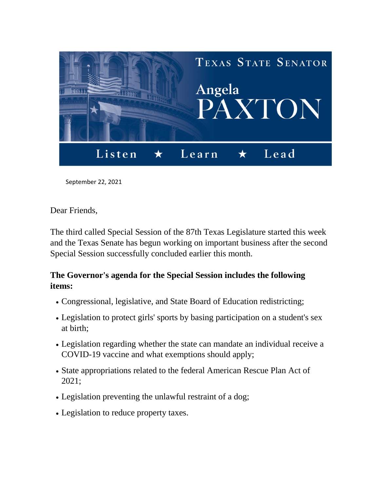

September 22, 2021

Dear Friends,

The third called Special Session of the 87th Texas Legislature started this week and the Texas Senate has begun working on important business after the second Special Session successfully concluded earlier this month.

## **The Governor's agenda for the Special Session includes the following items:**

- Congressional, legislative, and State Board of Education redistricting;
- Legislation to protect girls' sports by basing participation on a student's sex at birth;
- Legislation regarding whether the state can mandate an individual receive a COVID-19 vaccine and what exemptions should apply;
- State appropriations related to the federal American Rescue Plan Act of 2021;
- Legislation preventing the unlawful restraint of a dog;
- Legislation to reduce property taxes.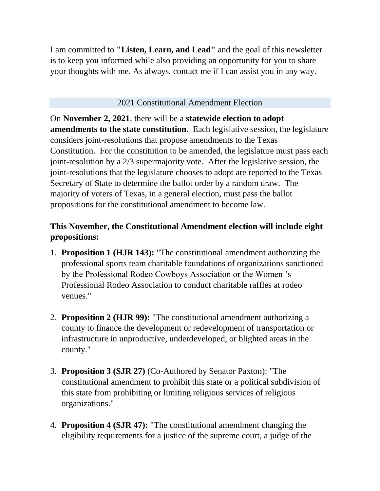I am committed to **"Listen, Learn, and Lead"** and the goal of this newsletter is to keep you informed while also providing an opportunity for you to share your thoughts with me. As always, contact me if I can assist you in any way.

## 2021 Constitutional Amendment Election

On **November 2, 2021**, there will be a **statewide election to adopt amendments to the state constitution**. Each legislative session, the legislature considers joint-resolutions that propose amendments to the Texas Constitution. For the constitution to be amended, the legislature must pass each joint-resolution by a 2/3 supermajority vote. After the legislative session, the joint-resolutions that the legislature chooses to adopt are reported to the Texas Secretary of State to determine the ballot order by a random draw. The majority of voters of Texas, in a general election, must pass the ballot propositions for the constitutional amendment to become law.

## **This November, the Constitutional Amendment election will include eight propositions:**

- 1. **Proposition 1 (HJR 143):** "The constitutional amendment authorizing the professional sports team charitable foundations of organizations sanctioned by the Professional Rodeo Cowboys Association or the Women 's Professional Rodeo Association to conduct charitable raffles at rodeo venues."
- 2. **Proposition 2 (HJR 99):** "The constitutional amendment authorizing a county to finance the development or redevelopment of transportation or infrastructure in unproductive, underdeveloped, or blighted areas in the county."
- 3. **Proposition 3 (SJR 27)** (Co-Authored by Senator Paxton): "The constitutional amendment to prohibit this state or a political subdivision of this state from prohibiting or limiting religious services of religious organizations."
- 4. **Proposition 4 (SJR 47):** "The constitutional amendment changing the eligibility requirements for a justice of the supreme court, a judge of the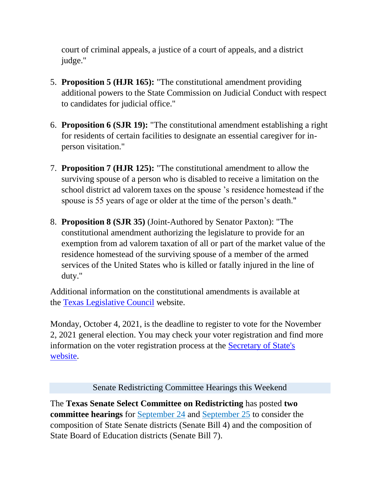court of criminal appeals, a justice of a court of appeals, and a district judge."

- 5. **Proposition 5 (HJR 165):** "The constitutional amendment providing additional powers to the State Commission on Judicial Conduct with respect to candidates for judicial office."
- 6. **Proposition 6 (SJR 19):** "The constitutional amendment establishing a right for residents of certain facilities to designate an essential caregiver for inperson visitation."
- 7. **Proposition 7 (HJR 125):** "The constitutional amendment to allow the surviving spouse of a person who is disabled to receive a limitation on the school district ad valorem taxes on the spouse 's residence homestead if the spouse is 55 years of age or older at the time of the person's death."
- 8. **Proposition 8 (SJR 35)** (Joint-Authored by Senator Paxton): "The constitutional amendment authorizing the legislature to provide for an exemption from ad valorem taxation of all or part of the market value of the residence homestead of the surviving spouse of a member of the armed services of the United States who is killed or fatally injured in the line of duty."

Additional information on the constitutional amendments is available at the [Texas Legislative Council](https://tlc.texas.gov/docs/amendments/analyses21.pdf) website.

Monday, October 4, 2021, is the deadline to register to vote for the November 2, 2021 general election. You may check your voter registration and find more information on the voter registration process at the [Secretary of State's](https://www.votetexas.gov/register/index.html)  [website.](https://www.votetexas.gov/register/index.html)

Senate Redistricting Committee Hearings this Weekend

The **Texas Senate Select Committee on Redistricting** has posted **two committee hearings** for [September 24](https://capitol.texas.gov/tlodocs/87R/schedules/pdf/C6252021092410001.PDF) and [September 25](https://capitol.texas.gov/tlodocs/87R/schedules/pdf/C6252021092509001.PDF) to consider the composition of State Senate districts (Senate Bill 4) and the composition of State Board of Education districts (Senate Bill 7).